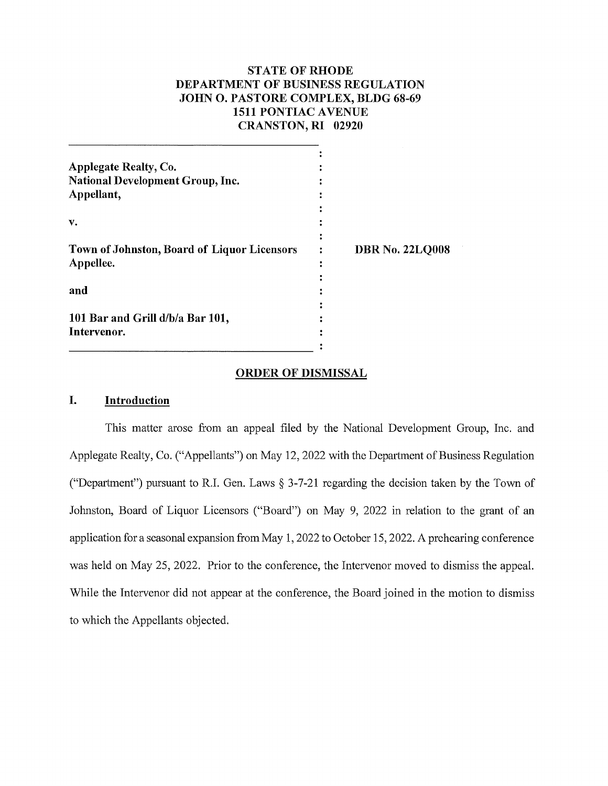# **STATE OF RHODE DEPARTMENT OF BUSINESS REGULATION JOHN 0. PASTORE COMPLEX, BLDG 68-69 1511 PONTIAC A VENUE CRANSTON, RI 02920**

| <b>Applegate Realty, Co.</b>                |                        |
|---------------------------------------------|------------------------|
| <b>National Development Group, Inc.</b>     |                        |
| Appellant,                                  |                        |
|                                             |                        |
| v.                                          |                        |
|                                             |                        |
| Town of Johnston, Board of Liquor Licensors | <b>DBR No. 22LQ008</b> |
| Appellee.                                   |                        |
|                                             |                        |
| and                                         |                        |
|                                             |                        |
| 101 Bar and Grill d/b/a Bar 101,            |                        |
| Intervenor.                                 |                        |
|                                             |                        |

#### **ORDER OF DISMISSAL**

## **I. Introduction**

This matter arose from an appeal filed by the National Development Group, Inc. and Applegate Realty, Co. ("Appellants") on May 12, 2022 with the Department of Business Regulation ("Department") pursuant to R.I. Gen. Laws§ 3-7-21 regarding the decision taken by the Town of Johnston, Board of Liquor Licensors ("Board") on May 9, 2022 in relation to the grant of an application for a seasonal expansion from May 1, 2022 to October 15, 2022. A prehearing conference was held on May 25, 2022. Prior to the conference, the Intervenor moved to dismiss the appeal. While the Intervenor did not appear at the conference, the Board joined in the motion to dismiss to which the Appellants objected.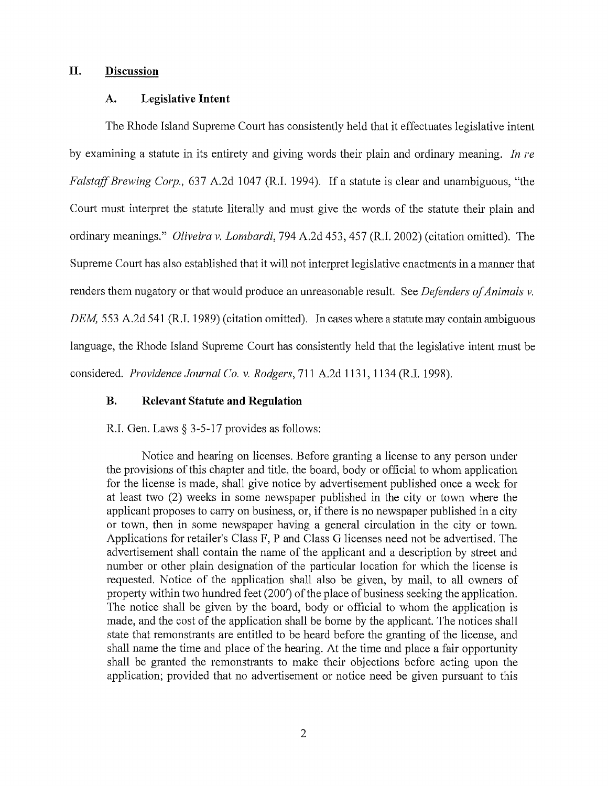## **II. Discussion**

### **A. Legislative Intent**

The Rhode Island Supreme Court has consistently held that it effectuates legislative intent by examining a statute in its entirety and giving words their plain and ordinaiy meaning. *In re Falstaff Brewing Corp.,* 637 A.2d 1047 (R.I. 1994). If a statute is clear and unambiguous, "the Court must interpret the statute literally and must give the words of the statute their plain and ordinaiy meanings." *Oliveira v. Lombardi,* 794 A.2d 453,457 (R.I. 2002) (citation omitted). The Supreme Court has also established that it will not interpret legislative enactments in a manner that renders them nugatory or that would produce an unreasonable result. See *Defenders of Animals v. DEM*, 553 A.2d 541 (R.I. 1989) (citation omitted). In cases where a statute may contain ambiguous language, the Rhode Island Supreme Court has consistently held that the legislative intent must be considered. *Providence Journal Co. v. Rodgers,* 711 A.2d 1131, 1134 (R.I. 1998).

# **B. Relevant Statute and Regulation**

R.I. Gen. Laws § 3-5-17 provides as follows:

Notice and hearing on licenses. Before granting a license to any person under the provisions of this chapter and title, the board, body or official to whom application for the license is made, shall give notice by advertisement published once a week for at least two (2) weeks in some newspaper published in the city or town where the applicant proposes to carry on business, or, if there is no newspaper published in a city or town, then in some newspaper having a general circulation in the city or town. Applications for retailer's Class F, P and Class G licenses need not be advertised. The advertisement shall contain the name of the applicant and a description by street and number or other plain designation of the particular location for which the license is requested. Notice of the application shall also be given, by mail, to all owners of property within two hundred feet (200') of the place of business seeking the application. The notice shall be given by the board, body or official to whom the application is made, and the cost of the application shall be borne by the applicant. The notices shall state that remonstrants are entitled to be heard before the granting of the license, and shall name the time and place of the hearing. At the time and place a fair opportunity shall be granted the remonstrants to make their objections before acting upon the application; provided that no advertisement or notice need be given pursuant to this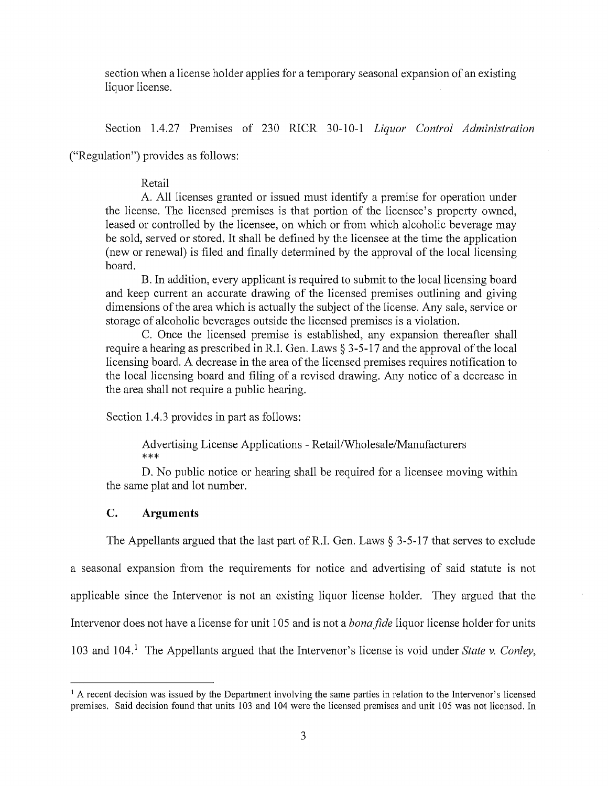section when a license holder applies for a temporary seasonal expansion of an existing liquor license.

Section 1.4.27 Premises of 230 RICR 30-10-1 *Liquor Control Administration* 

("Regulation") provides as follows:

# Retail

A. All licenses granted or issued must identify a premise for operation under the license. The licensed premises is that portion of the licensee's property owned, leased or controlled by the licensee, on which or from which alcoholic beverage may be sold, served or stored. It shall be defined by the licensee at the time the application (new or renewal) is filed and finally determined by the approval of the local licensing board.

B. In addition, every applicant is required to submit to the local licensing board and keep current an accurate drawing of the licensed premises outlining and giving dimensions of the area which is actually the subject of the license. Any sale, service or storage of alcoholic beverages outside the licensed premises is a violation.

C. Once the licensed premise is established, any expansion thereafter shall require a hearing as prescribed in R.I. Gen. Laws § 3-5-17 and the approval of the local licensing board. A decrease in the area of the licensed premises requires notification to the local licensing board and filing of a revised drawing. Any notice of a decrease in the area shall not require a public hearing.

Section 1.4.3 provides in part as follows:

Advertising License Applications - Retail/Wholesale/Manufacturers \*\*\*

D. No public notice or hearing shall be required for a licensee moving within the same plat and lot number.

# **C. Arguments**

The Appellants argued that the last part of R.I. Gen. Laws  $\S$  3-5-17 that serves to exclude a seasonal expansion from the requirements for notice and advertising of said statute is not applicable since the Intervenor is not an existing liquor license holder. They argued that the Intervenor does not have a license for unit 105 and is not a *bona fide* liquor license holder for units 103 and 104.<sup>1</sup> The Appellants argued that the Intervenor's license is void under *State v. Conley*,

 $<sup>1</sup>$  A recent decision was issued by the Department involving the same parties in relation to the Intervenor's licensed</sup> premises. Said decision found that units 103 and 104 were the licensed premises and unit 105 was not licensed. In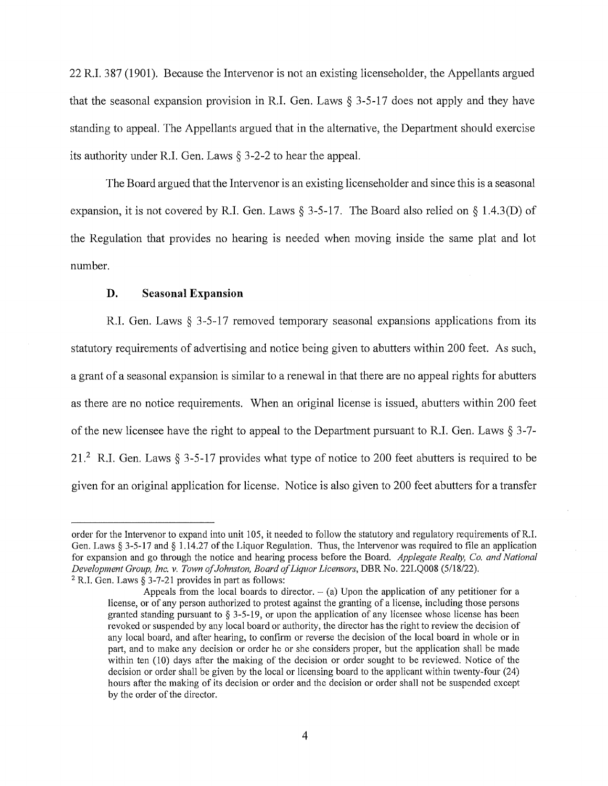22 R.I. 387 (1901). Because the Intervenor is not an existing licenseholder, the Appellants argued that the seasonal expansion provision in R.I. Gen. Laws  $\S$  3-5-17 does not apply and they have standing to appeal. The Appellants argued that in the alternative, the Department should exercise its authority under R.I. Gen. Laws § 3-2-2 to hear the appeal.

The Board argued that the Intervenor is an existing licenseholder and since this is a seasonal expansion, it is not covered by R.I. Gen. Laws § 3-5-17. The Board also relied on § 1.4.3(D) of the Regulation that provides no hearing is needed when moving inside the same plat and lot number.

#### **D. Seasonal Expansion**

R.I. Gen. Laws § 3-5-17 removed temporary seasonal expansions applications from its statutory requirements of advertising and notice being given to abutters within 200 feet. As such, a grant of a seasonal expansion is similar to a renewal in that there are no appeal rights for abutters as there are no notice requirements. When an original license is issued, abutters within 200 feet of the new licensee have the right to appeal to the Department pursuant to R.I. Gen. Laws§ 3-7- 21.2 R.I. Gen. Laws § 3-5-17 provides what type of notice to 200 feet abutters is required to be given for an original application for license. Notice is also given to 200 feet abutters for a transfer

order for the Intervenor to expand into unit 105, it needed to follow the statutory and regulatmy requirements ofR.I. Gen. Laws § 3-5-17 and§ 1.14.27 of the Liquor Regulation. Thus, the Intervenor was required to file an application for expansion and go through the notice and hearing process before the Board. *Applegate Realty, Co. and National Development Group, Inc. v. Town of Johnston, Board of Liquor Licensors,* DBR No. 22LQ008 (5/18/22).  $2$  R.I. Gen. Laws § 3-7-21 provides in part as follows:

Appeals from the local boards to director.  $-$  (a) Upon the application of any petitioner for a license, or of any person authorized to protest against the granting of a license, including those persons granted standing pursuant to  $\S 3-5-19$ , or upon the application of any licensee whose license has been revoked or suspended by any local board or authority, the director has the right to review the decision of any local board, and after hearing, to confirm or reverse the decision of the local board in whole or in part, and to make any decision or order he or she considers proper, but the application shall be made within ten (10) days after the making of the decision or order sought to be reviewed. Notice of the decision or order shall be given by the local or licensing board to the applicant within twenty-four (24) hours after the making of its decision or order and the decision or order shall not be suspended except by the order of the director.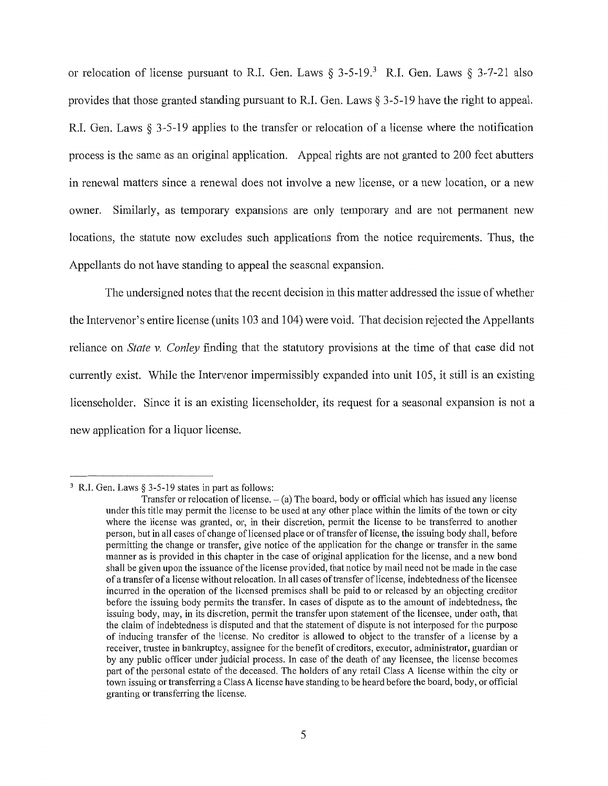or relocation of license pursuant to R.I. Gen. Laws  $\S 3-5-19$ .<sup>3</sup> R.I. Gen. Laws  $\S 3-7-21$  also provides that those granted standing pursuant to R.I. Gen. Laws§ 3-5-19 have the right to appeal. R.I. Gen. Laws  $\S$  3-5-19 applies to the transfer or relocation of a license where the notification process is the same as an original application. Appeal rights are not granted to 200 feet abutters in renewal matters since a renewal does not involve a new license, or a new location, or a new owner. Similarly, as temporary expansions are only temporary and are not permanent new locations, the statute now excludes such applications from the notice requirements. Thus, the Appellants do not have standing to appeal the seasonal expansion.

The undersigned notes that the recent decision in this matter addressed the issue of whether the Intervenor's entire license (units 103 and 104) were void. That decision rejected the Appellants reliance on *State v. Conley* finding that the statutory provisions at the time of that case did not currently exist. While the Intervenor impermissibly expanded into unit 105, it still is an existing licenseholder. Since it is an existing licenseholder, its request for a seasonal expansion is not a new application for a liquor license.

<sup>&</sup>lt;sup>3</sup> R.I. Gen. Laws § 3-5-19 states in part as follows:

Transfer or relocation of license.  $-$  (a) The board, body or official which has issued any license under this title may permit the license to be used at any other place within the limits of the town or city where the license was granted, or, in their discretion, permit the license to be transferred to another person, but in all cases of change of licensed place or of transfer of license, the issuing body shall, before permitting the change or transfer, give notice of the application for the change or transfer in the same manner as is provided in this chapter in the case of original application for the license, and a new bond shall be given upon the issuance of the license provided, that notice by mail need not be made in the case of a transfer of a license without relocation. In all cases of transfer oflicense, indebtedness of the licensee incurred in the operation of the licensed premises shall be paid to or released by an objecting creditor before the issuing body permits the transfer. In cases of dispute as to the amount of indebtedness, the issuing body, may, in its discretion, pennit the transfer upon statement of the licensee, under oath, that the claim of indebtedness is disputed and that the statement of dispute is not interposed for the purpose of inducing transfer of the license. No creditor is allowed to object to the transfer of a license by a receiver, trustee in bankruptcy, assignee for the benefit of creditors, executor, administrator, guardian or by any public officer under judicial process. In case of the death of any licensee, the license becomes part of the personal estate of the deceased. The holders of any retail Class A license within the city or town issuing or transferring a Class A license have standing to be heard before the board, body, or official granting or transferring the license.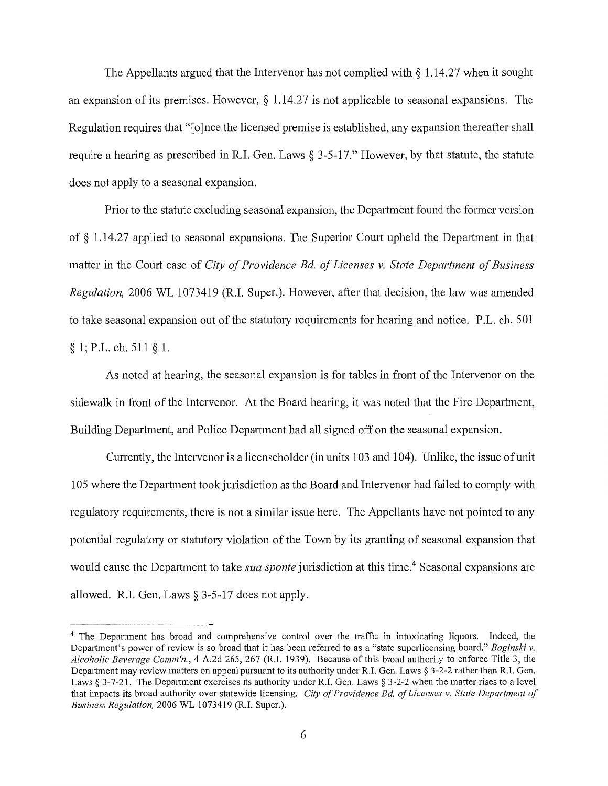The Appellants argued that the Intervenor has not complied with § 1.14.27 when it sought an expansion of its premises. However,  $\S 1.14.27$  is not applicable to seasonal expansions. The Regulation requires that "[o]nce the licensed premise is established, any expansion thereafter shall require a hearing as prescribed in R.I. Gen. Laws§ 3-5-17." However, by that statute, the statute does not apply to a seasonal expansion.

Prior to the statute excluding seasonal expansion, the Department found the former version of § 1.14.27 applied to seasonal expansions. The Superior Court upheld the Department in that matter in the Court case of *City of Providence Ed. of Licenses v. State Department of Business Regulation,* 2006 WL 1073419 (R.I. Super.). However, after that decision, the law was amended to take seasonal expansion out of the statutory requirements for hearing and notice. P.L. ch. 501  $§ 1; P.L. ch. 511 § 1.$ 

As noted at hearing, the seasonal expansion is for tables in front of the Intervenor on the sidewalk in front of the Intervenor. At the Board hearing, it was noted that the Fire Department, Building Department, and Police Department had all signed off on the seasonal expansion.

Currently, the Intervenor is a licenseholder (in units 103 and 104). Unlike, the issue of unit 105 where the Department took jurisdiction as the Board and Intervenor had failed to comply with regulatory requirements, there is not a similar issue here. The Appellants have not pointed to any potential regulatory or statutory violation of the Town by its granting of seasonal expansion that would cause the Department to take *sua sponte* jurisdiction at this time.<sup>4</sup> Seasonal expansions are allowed. R.I. Gen. Laws§ 3-5-17 does not apply.

<sup>&</sup>lt;sup>4</sup> The Department has broad and comprehensive control over the traffic in intoxicating liquors. Indeed, the Department's power of review is so broad that it has been referred to as a "state superlicensing board." *Baginski v. Alcoholic Beverage Comm'n.,* 4 A.2d 265, 267 (R.I. 1939). Because of this broad authority to enforce Title 3, the Department may review matters on appeal pursuant to its authority under R.I. Gen. Laws § 3-2-2 rather than R.I. Gen. Laws § 3-7-21. The Department exercises its authority under R.I. Gen. Laws § 3-2-2 when the matter rises to a level that impacts its broad authority over statewide licensing. *City of Providence Ed. of Licenses v. State Department of Business Regulation,* 2006 WL 1073419 (R.I. Super.).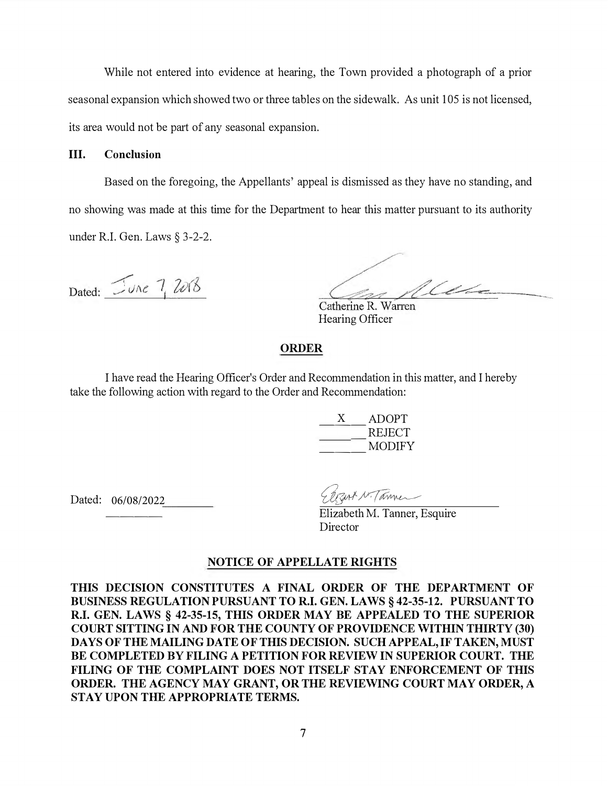While not entered into evidence at hearing, the Town provided a photograph of a prior seasonal expansion which showed two or three tables on the sidewalk. As unit 105 is not licensed, its area would not be part of any seasonal expansion.

## **III. Conclusion**

Based on the foregoing, the Appellants' appeal is dismissed as they have no standing, and no showing was made at this time for the Department to hear this matter pursuant to its authority under R.I. Gen. Laws § 3-2-2.

Dated:  $Two 7, 2018$ 

Me

Catherine R. Warren Hearing Officer

### **ORDER**

I have read the Hearing Officer's Order and Recommendation in this matter, and I hereby take the following action with regard to the Order and Recommendation:

| <b>ADOPT</b> |
|--------------|
| REJECT       |
| MODIFY       |

Dated: 06/08/2022 ----

Elizart N. Tanner

Elizabeth M. Tanner, Esquire Director

### **NOTICE OF APPELLATE RIGHTS**

**THIS DECISION CONSTITUTES A FINAL ORDER OF THE DEPARTMENT OF BUSINESS REGULATION PURSUANT TO R.I. GEN. LAWS§ 42-35-12. PURSUANT TO R.I. GEN. LAWS§ 42-35-15, THIS ORDER MAY BE APPEALED TO THE SUPERIOR COURT SITTING IN AND FOR THE COUNTY OF PROVIDENCE WITHIN THIRTY (30) DAYS OF THE MAILING DATE OF THIS DECISION. SUCH APPEAL, IF TAKEN, MUST BE COMPLETED BY FILING A PETITION FOR REVIEW IN SUPERIOR COURT. THE FILING OF THE COMPLAINT DOES NOT ITSELF STAY ENFORCEMENT OF THIS ORDER. THE AGENCY MAY GRANT, OR THE REVIEWING COURT MAY ORDER, A STAY UPON THE APPROPRIATE TERMS.**